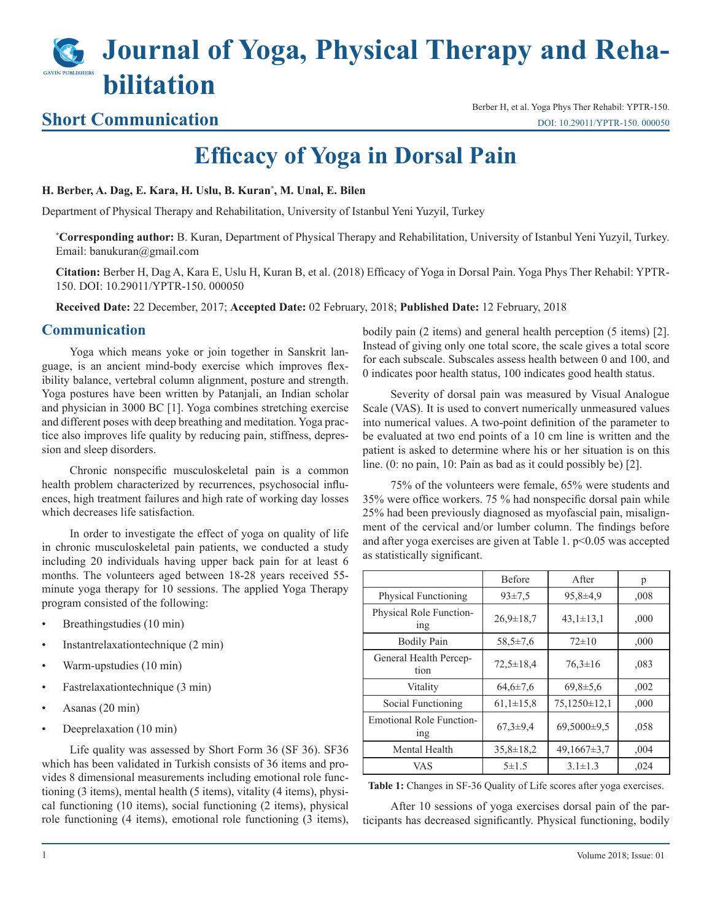# **Journal of Yoga, Physical Therapy and Rehabilitation**

### **Short Communication**

Berber H, et al. Yoga Phys Ther Rehabil: YPTR-150. [DOI: 10.29011/YPTR-150. 000050](http://doi.org/10.29011/YPTR-150. 000050)

## **Efficacy of Yoga in Dorsal Pain**

#### **H. Berber, A. Dag, E. Kara, H. Uslu, B. Kuran\* , M. Unal, E. Bilen**

Department of Physical Therapy and Rehabilitation, University of Istanbul Yeni Yuzyil, Turkey

**\* Corresponding author:** B. Kuran, Department of Physical Therapy and Rehabilitation, University of Istanbul Yeni Yuzyil, Turkey. Email: banukuran@gmail.com

**Citation:** Berber H, Dag A, Kara E, Uslu H, Kuran B, et al. (2018) Efficacy of Yoga in Dorsal Pain. Yoga Phys Ther Rehabil: YPTR-150. DOI: 10.29011/YPTR-150. 000050

**Received Date:** 22 December, 2017; **Accepted Date:** 02 February, 2018; **Published Date:** 12 February, 2018

#### **Communication**

Yoga which means yoke or join together in Sanskrit language, is an ancient mind-body exercise which improves flexibility balance, vertebral column alignment, posture and strength. Yoga postures have been written by Patanjali, an Indian scholar and physician in 3000 BC [1]. Yoga combines stretching exercise and different poses with deep breathing and meditation. Yoga practice also improves life quality by reducing pain, stiffness, depression and sleep disorders.

Chronic nonspecific musculoskeletal pain is a common health problem characterized by recurrences, psychosocial influences, high treatment failures and high rate of working day losses which decreases life satisfaction.

In order to investigate the effect of yoga on quality of life in chronic musculoskeletal pain patients, we conducted a study including 20 individuals having upper back pain for at least 6 months. The volunteers aged between 18-28 years received 55 minute yoga therapy for 10 sessions. The applied Yoga Therapy program consisted of the following:

- Breathingstudies (10 min)
- Instantrelaxationtechnique (2 min)
- Warm-upstudies (10 min)
- Fastrelaxationtechnique (3 min)
- Asanas (20 min)
- Deeprelaxation (10 min)

Life quality was assessed by Short Form 36 (SF 36). SF36 which has been validated in Turkish consists of 36 items and provides 8 dimensional measurements including emotional role functioning (3 items), mental health (5 items), vitality (4 items), physical functioning (10 items), social functioning (2 items), physical role functioning (4 items), emotional role functioning (3 items), bodily pain (2 items) and general health perception (5 items) [2]. Instead of giving only one total score, the scale gives a total score for each subscale. Subscales assess health between 0 and 100, and 0 indicates poor health status, 100 indicates good health status.

Severity of dorsal pain was measured by Visual Analogue Scale (VAS). It is used to convert numerically unmeasured values into numerical values. A two-point definition of the parameter to be evaluated at two end points of a 10 cm line is written and the patient is asked to determine where his or her situation is on this line. (0: no pain, 10: Pain as bad as it could possibly be) [2].

75% of the volunteers were female, 65% were students and 35% were office workers. 75 % had nonspecific dorsal pain while 25% had been previously diagnosed as myofascial pain, misalignment of the cervical and/or lumber column. The findings before and after yoga exercises are given at Table 1.  $p<0.05$  was accepted as statistically significant.

|                                                    | <b>Before</b>   | After              | p    |
|----------------------------------------------------|-----------------|--------------------|------|
| <b>Physical Functioning</b>                        | $93 \pm 7.5$    | $95,8+4,9$         | ,008 |
| Physical Role Function-<br>1ng                     | $26.9 \pm 18.7$ | $43,1 \pm 13,1$    | ,000 |
| <b>Bodily Pain</b>                                 | $58.5 \pm 7.6$  | $72\pm10$          | ,000 |
| General Health Percep-<br>tion                     | $72.5 \pm 18.4$ | $76.3 \pm 16$      | ,083 |
| Vitality                                           | $64.6 \pm 7.6$  | $69,8 \pm 5,6$     | .002 |
| Social Functioning                                 | $61,1\pm15,8$   | $75,1250 \pm 12,1$ | ,000 |
| <b>Emotional Role Function-</b><br><sub>1</sub> ng | $67.3 \pm 9.4$  | 69,5000±9,5        | .058 |
| Mental Health                                      | $35,8 \pm 18,2$ | $49,1667\pm3.7$    | .004 |
| VAS                                                | 5±1.5           | $3.1 \pm 1.3$      | ,024 |

**Table 1:** Changes in SF-36 Quality of Life scores after yoga exercises.

After 10 sessions of yoga exercises dorsal pain of the participants has decreased significantly. Physical functioning, bodily